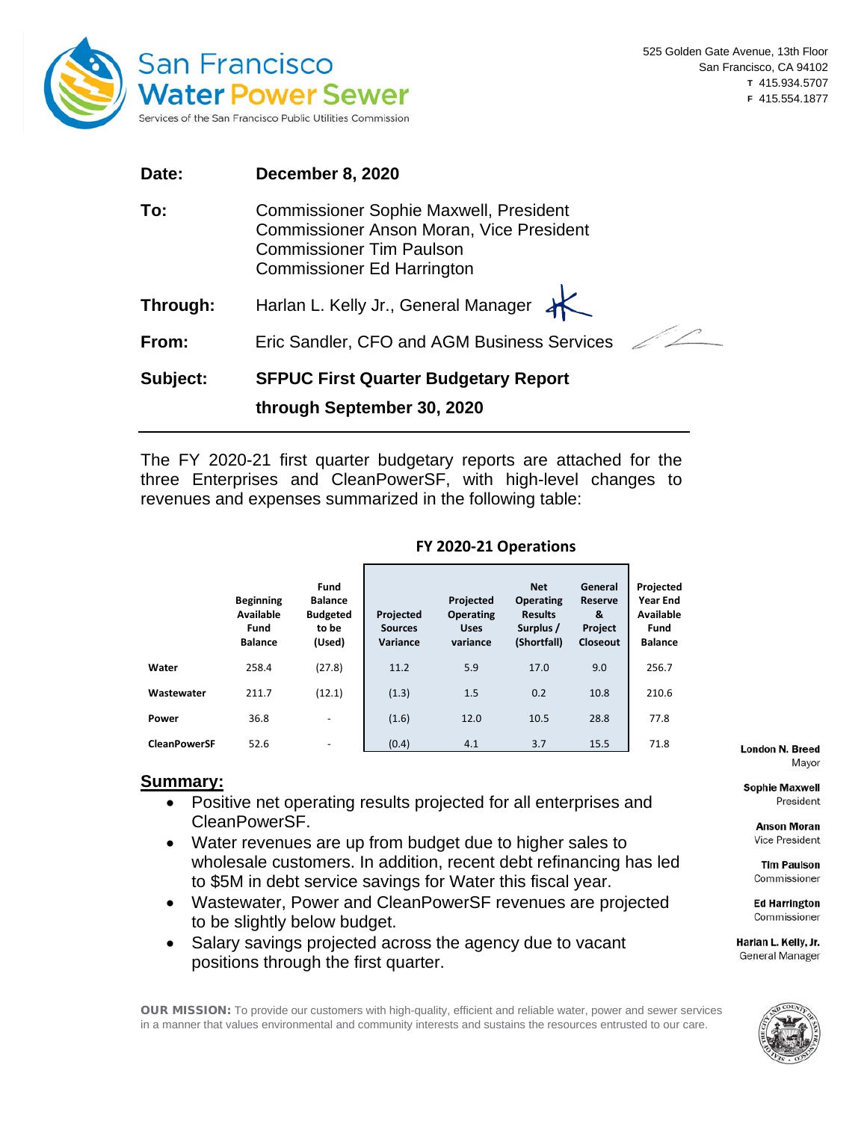

| Date:    | December 8, 2020                                                                                                                                                         |
|----------|--------------------------------------------------------------------------------------------------------------------------------------------------------------------------|
| To:      | <b>Commissioner Sophie Maxwell, President</b><br><b>Commissioner Anson Moran, Vice President</b><br><b>Commissioner Tim Paulson</b><br><b>Commissioner Ed Harrington</b> |
| Through: | Harlan L. Kelly Jr., General Manager K                                                                                                                                   |
| From:    | Eric Sandler, CFO and AGM Business Services                                                                                                                              |
| Subject: | <b>SFPUC First Quarter Budgetary Report</b><br>through September 30, 2020                                                                                                |

The FY 2020-21 first quarter budgetary reports are attached for the three Enterprises and CleanPowerSF, with high-level changes to revenues and expenses summarized in the following table:

|                     | <b>Beginning</b><br>Available<br>Fund<br><b>Balance</b> | Fund<br><b>Balance</b><br><b>Budgeted</b><br>to be<br>(Used) | Projected<br><b>Sources</b><br>Variance | Projected<br><b>Operating</b><br><b>Uses</b><br>variance | <b>Net</b><br><b>Operating</b><br><b>Results</b><br>Surplus /<br>(Shortfall) | General<br><b>Reserve</b><br>&<br><b>Project</b><br><b>Closeout</b> | Projected<br><b>Year End</b><br>Available<br>Fund<br><b>Balance</b> |
|---------------------|---------------------------------------------------------|--------------------------------------------------------------|-----------------------------------------|----------------------------------------------------------|------------------------------------------------------------------------------|---------------------------------------------------------------------|---------------------------------------------------------------------|
| Water               | 258.4                                                   | (27.8)                                                       | 11.2                                    | 5.9                                                      | 17.0                                                                         | 9.0                                                                 | 256.7                                                               |
| Wastewater          | 211.7                                                   | (12.1)                                                       | (1.3)                                   | 1.5                                                      | 0.2                                                                          | 10.8                                                                | 210.6                                                               |
| Power               | 36.8                                                    | ۰                                                            | (1.6)                                   | 12.0                                                     | 10.5                                                                         | 28.8                                                                | 77.8                                                                |
| <b>CleanPowerSF</b> | 52.6                                                    | $\overline{\phantom{a}}$                                     | (0.4)                                   | 4.1                                                      | 3.7                                                                          | 15.5                                                                | 71.8                                                                |

# **FY 2020-21 Operations**

# **Summary:**

- Positive net operating results projected for all enterprises and CleanPowerSF.
- Water revenues are up from budget due to higher sales to wholesale customers. In addition, recent debt refinancing has led to \$5M in debt service savings for Water this fiscal year.
- Wastewater, Power and CleanPowerSF revenues are projected to be slightly below budget.
- Salary savings projected across the agency due to vacant positions through the first quarter.

**London N. Breed** Mayor

**Sophie Maxwell** President

> **Anson Moran Vice President**

> **Tim Paulson** Commissioner

> **Ed Harrington** Commissioner

Harlan L. Kelly, Jr. **General Manager** 



OUR MISSION: To provide our customers with high-quality, efficient and reliable water, power and sewer services in a manner that values environmental and community interests and sustains the resources entrusted to our care.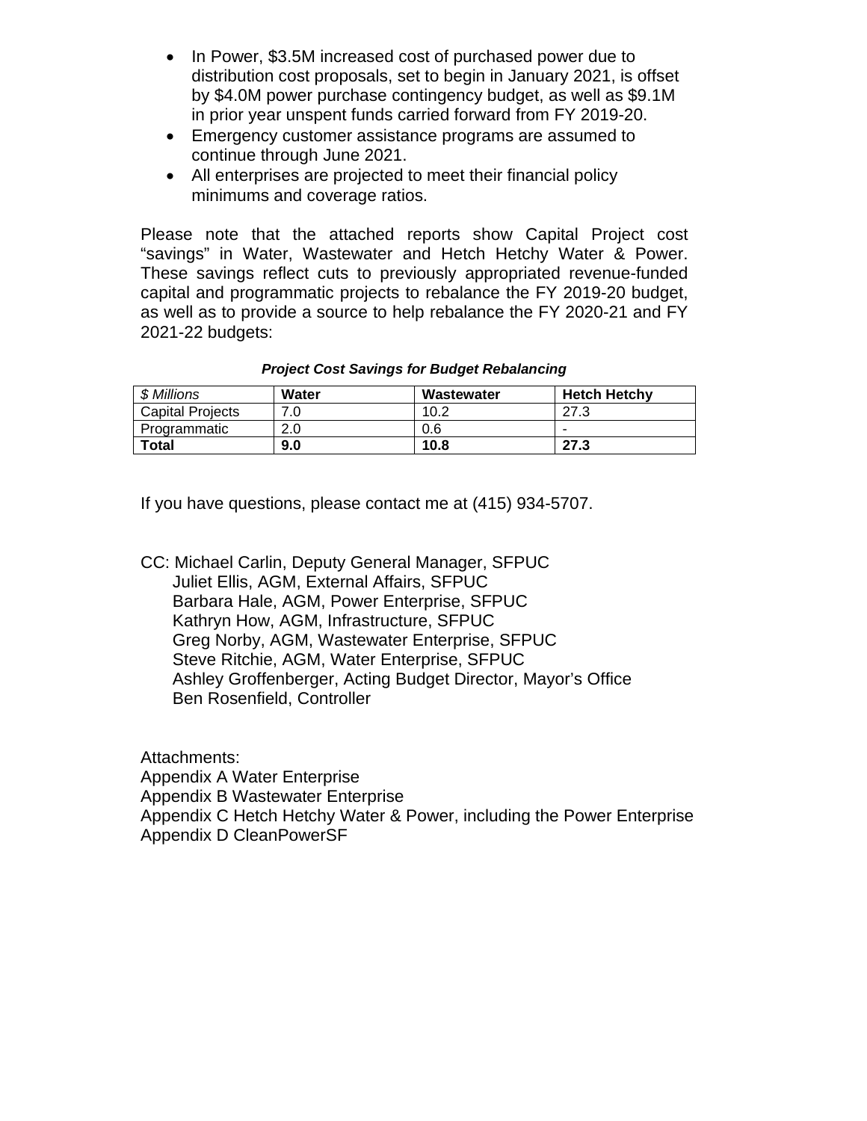- In Power, \$3.5M increased cost of purchased power due to distribution cost proposals, set to begin in January 2021, is offset by \$4.0M power purchase contingency budget, as well as \$9.1M in prior year unspent funds carried forward from FY 2019-20.
- Emergency customer assistance programs are assumed to continue through June 2021.
- All enterprises are projected to meet their financial policy minimums and coverage ratios.

Please note that the attached reports show Capital Project cost "savings" in Water, Wastewater and Hetch Hetchy Water & Power. These savings reflect cuts to previously appropriated revenue-funded capital and programmatic projects to rebalance the FY 2019-20 budget, as well as to provide a source to help rebalance the FY 2020-21 and FY 2021-22 budgets:

| \$ Millions             | Water | Wastewater | <b>Hetch Hetchy</b> |
|-------------------------|-------|------------|---------------------|
| <b>Capital Projects</b> |       | 10.2       | ף דר                |
| Programmatic            | 2.0   | 0.6        | -                   |
| <b>Total</b>            | 9.0   | 10.8       | 27.3                |

*Project Cost Savings for Budget Rebalancing*

If you have questions, please contact me at (415) 934-5707.

CC: Michael Carlin, Deputy General Manager, SFPUC Juliet Ellis, AGM, External Affairs, SFPUC Barbara Hale, AGM, Power Enterprise, SFPUC Kathryn How, AGM, Infrastructure, SFPUC Greg Norby, AGM, Wastewater Enterprise, SFPUC Steve Ritchie, AGM, Water Enterprise, SFPUC Ashley Groffenberger, Acting Budget Director, Mayor's Office Ben Rosenfield, Controller

Attachments: Appendix A Water Enterprise Appendix B Wastewater Enterprise Appendix C Hetch Hetchy Water & Power, including the Power Enterprise Appendix D CleanPowerSF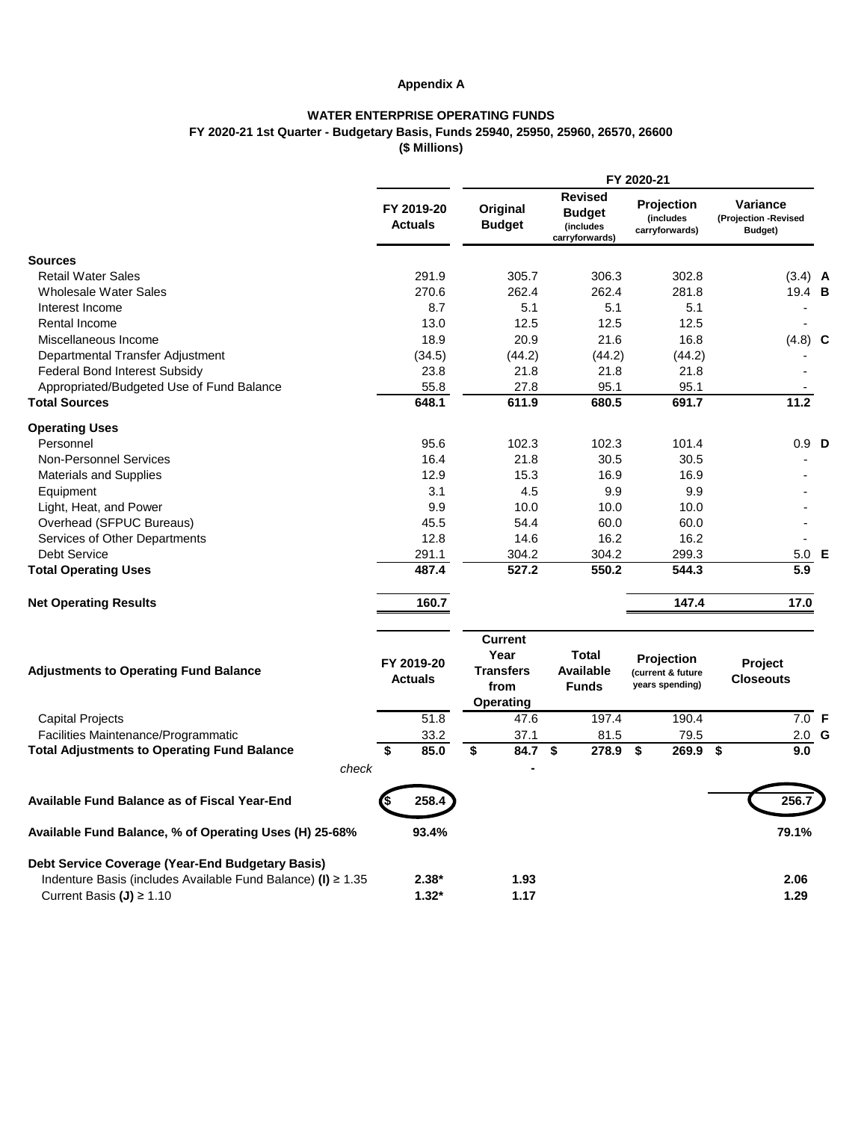# **Appendix A**

## **WATER ENTERPRISE OPERATING FUNDS FY 2020-21 1st Quarter - Budgetary Basis, Funds 25940, 25950, 25960, 26570, 26600 (\$ Millions)**

|                                                                   |                              | FY 2020-21                                                             |     |                                                                |                                                           |                                             |  |
|-------------------------------------------------------------------|------------------------------|------------------------------------------------------------------------|-----|----------------------------------------------------------------|-----------------------------------------------------------|---------------------------------------------|--|
|                                                                   | FY 2019-20<br><b>Actuals</b> | Original<br><b>Budget</b>                                              |     | <b>Revised</b><br><b>Budget</b><br>(includes<br>carryforwards) | <b>Projection</b><br>(includes<br>carryforwards)          | Variance<br>(Projection -Revised<br>Budget) |  |
| <b>Sources</b>                                                    |                              |                                                                        |     |                                                                |                                                           |                                             |  |
| <b>Retail Water Sales</b>                                         | 291.9                        | 305.7                                                                  |     | 306.3                                                          | 302.8                                                     | $(3.4)$ <b>A</b>                            |  |
| <b>Wholesale Water Sales</b>                                      | 270.6                        | 262.4                                                                  |     | 262.4                                                          | 281.8                                                     | 19.4 B                                      |  |
| Interest Income                                                   | 8.7                          |                                                                        | 5.1 | 5.1                                                            | 5.1                                                       |                                             |  |
| Rental Income                                                     | 13.0                         | 12.5                                                                   |     | 12.5                                                           | 12.5                                                      |                                             |  |
| Miscellaneous Income                                              | 18.9                         | 20.9                                                                   |     | 21.6                                                           | 16.8                                                      | $(4.8)$ C                                   |  |
| Departmental Transfer Adjustment                                  | (34.5)                       | (44.2)                                                                 |     | (44.2)                                                         | (44.2)                                                    |                                             |  |
| <b>Federal Bond Interest Subsidy</b>                              | 23.8                         | 21.8                                                                   |     | 21.8                                                           | 21.8                                                      |                                             |  |
| Appropriated/Budgeted Use of Fund Balance                         | 55.8                         | 27.8                                                                   |     | 95.1                                                           | 95.1                                                      |                                             |  |
| <b>Total Sources</b>                                              | 648.1                        | 611.9                                                                  |     | 680.5                                                          | 691.7                                                     | 11.2                                        |  |
| <b>Operating Uses</b>                                             |                              |                                                                        |     |                                                                |                                                           |                                             |  |
| Personnel                                                         | 95.6                         | 102.3                                                                  |     | 102.3                                                          | 101.4                                                     | $0.9$ D                                     |  |
| <b>Non-Personnel Services</b>                                     | 16.4                         | 21.8                                                                   |     | 30.5                                                           | 30.5                                                      |                                             |  |
| <b>Materials and Supplies</b>                                     | 12.9                         | 15.3                                                                   |     | 16.9                                                           | 16.9                                                      |                                             |  |
| Equipment                                                         | 3.1                          |                                                                        | 4.5 | 9.9                                                            | 9.9                                                       |                                             |  |
| Light, Heat, and Power                                            | 9.9                          | 10.0                                                                   |     | 10.0                                                           | 10.0                                                      |                                             |  |
| Overhead (SFPUC Bureaus)                                          | 45.5                         | 54.4                                                                   |     | 60.0                                                           | 60.0                                                      |                                             |  |
| Services of Other Departments                                     | 12.8                         | 14.6                                                                   |     | 16.2                                                           | 16.2                                                      |                                             |  |
| <b>Debt Service</b>                                               | 291.1                        | 304.2                                                                  |     | 304.2                                                          | 299.3                                                     | 5.0<br>Е                                    |  |
| <b>Total Operating Uses</b>                                       | 487.4                        | 527.2                                                                  |     | 550.2                                                          | 544.3                                                     | 5.9                                         |  |
| <b>Net Operating Results</b>                                      | 160.7                        |                                                                        |     |                                                                | 147.4                                                     | 17.0                                        |  |
| <b>Adjustments to Operating Fund Balance</b>                      | FY 2019-20<br><b>Actuals</b> | <b>Current</b><br>Year<br><b>Transfers</b><br>from<br><b>Operating</b> |     | Total<br><b>Available</b><br><b>Funds</b>                      | <b>Projection</b><br>(current & future<br>years spending) | <b>Project</b><br><b>Closeouts</b>          |  |
| <b>Capital Projects</b>                                           | 51.8                         | 47.6                                                                   |     | 197.4                                                          | 190.4                                                     | $7.0$ F                                     |  |
| Facilities Maintenance/Programmatic                               | 33.2                         | 37.1                                                                   |     | 81.5                                                           | 79.5                                                      | $2.0$ G                                     |  |
| <b>Total Adjustments to Operating Fund Balance</b>                | \$<br>85.0                   | \$<br>84.7                                                             |     | \$<br>278.9                                                    | \$<br>269.9                                               | \$<br>9.0                                   |  |
| check                                                             |                              |                                                                        |     |                                                                |                                                           |                                             |  |
| <b>Available Fund Balance as of Fiscal Year-End</b>               | 258.4                        |                                                                        |     |                                                                |                                                           | 256.7                                       |  |
| Available Fund Balance, % of Operating Uses (H) 25-68%            | 93.4%                        |                                                                        |     |                                                                |                                                           | 79.1%                                       |  |
| Debt Service Coverage (Year-End Budgetary Basis)                  |                              |                                                                        |     |                                                                |                                                           |                                             |  |
| Indenture Basis (includes Available Fund Balance) (I) $\geq 1.35$ | $2.38*$                      | 1.93                                                                   |     |                                                                |                                                           | 2.06                                        |  |
| Current Basis (J) ≥ 1.10                                          | $1.32*$                      | 1.17                                                                   |     |                                                                |                                                           | 1.29                                        |  |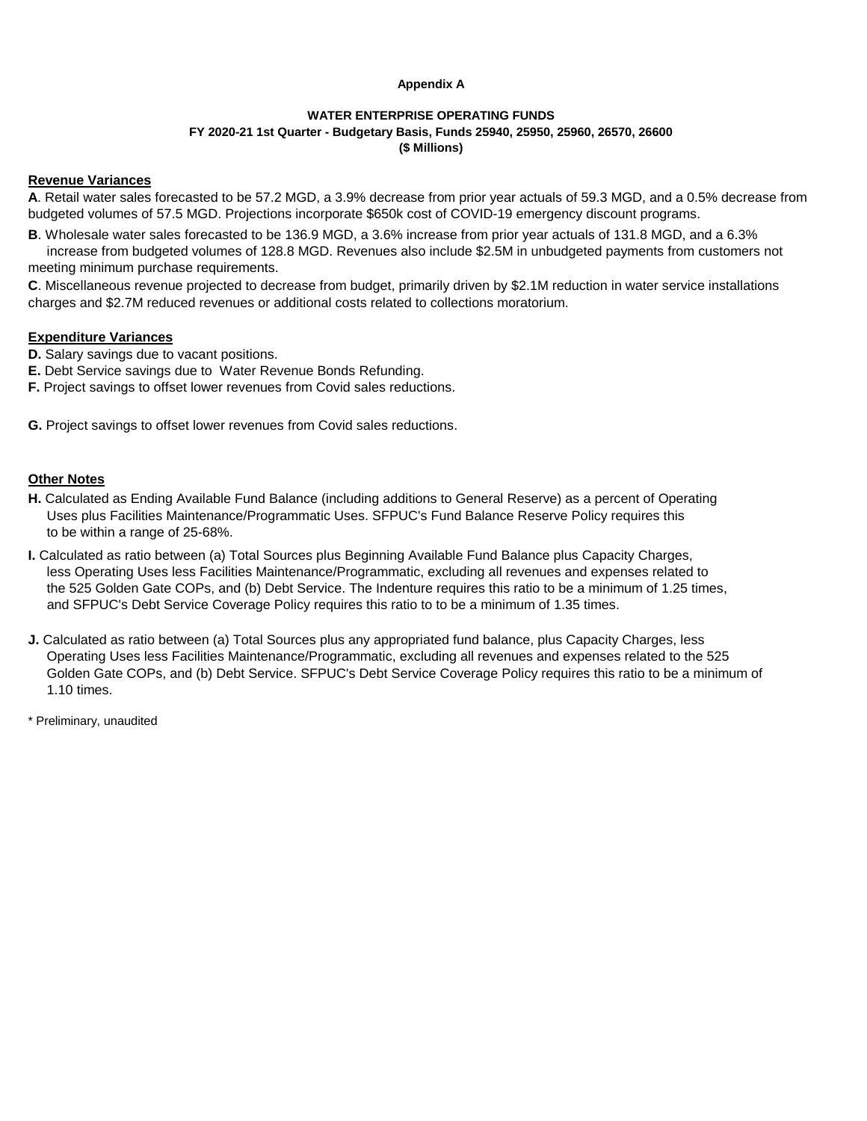#### **Appendix A**

### **WATER ENTERPRISE OPERATING FUNDS FY 2020-21 1st Quarter - Budgetary Basis, Funds 25940, 25950, 25960, 26570, 26600 (\$ Millions)**

#### **Revenue Variances**

**A**. Retail water sales forecasted to be 57.2 MGD, a 3.9% decrease from prior year actuals of 59.3 MGD, and a 0.5% decrease from budgeted volumes of 57.5 MGD. Projections incorporate \$650k cost of COVID-19 emergency discount programs.

**B**. Wholesale water sales forecasted to be 136.9 MGD, a 3.6% increase from prior year actuals of 131.8 MGD, and a 6.3% increase from budgeted volumes of 128.8 MGD. Revenues also include \$2.5M in unbudgeted payments from customers not

meeting minimum purchase requirements.

**C**. Miscellaneous revenue projected to decrease from budget, primarily driven by \$2.1M reduction in water service installations charges and \$2.7M reduced revenues or additional costs related to collections moratorium.

### **Expenditure Variances**

**D.** Salary savings due to vacant positions.

- **E.** Debt Service savings due to Water Revenue Bonds Refunding.
- **F.** Project savings to offset lower revenues from Covid sales reductions.

**G.** Project savings to offset lower revenues from Covid sales reductions.

## **Other Notes**

- **H.** Calculated as Ending Available Fund Balance (including additions to General Reserve) as a percent of Operating Uses plus Facilities Maintenance/Programmatic Uses. SFPUC's Fund Balance Reserve Policy requires this to be within a range of 25-68%.
- **I.** Calculated as ratio between (a) Total Sources plus Beginning Available Fund Balance plus Capacity Charges, less Operating Uses less Facilities Maintenance/Programmatic, excluding all revenues and expenses related to the 525 Golden Gate COPs, and (b) Debt Service. The Indenture requires this ratio to be a minimum of 1.25 times, and SFPUC's Debt Service Coverage Policy requires this ratio to to be a minimum of 1.35 times.
- **J.** Calculated as ratio between (a) Total Sources plus any appropriated fund balance, plus Capacity Charges, less Operating Uses less Facilities Maintenance/Programmatic, excluding all revenues and expenses related to the 525 Golden Gate COPs, and (b) Debt Service. SFPUC's Debt Service Coverage Policy requires this ratio to be a minimum of 1.10 times.

\* Preliminary, unaudited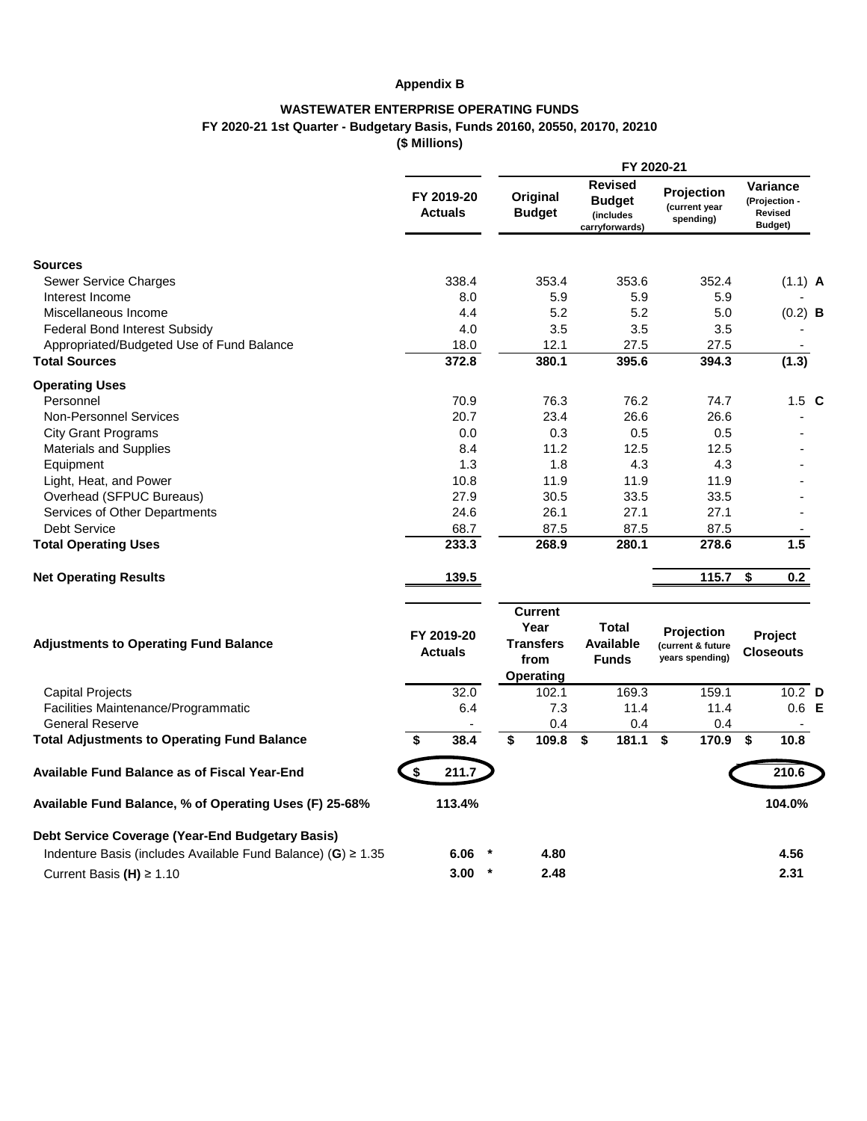# **Appendix B**

# **WASTEWATER ENTERPRISE OPERATING FUNDS FY 2020-21 1st Quarter - Budgetary Basis, Funds 20160, 20550, 20170, 20210**

**(\$ Millions)**

|                                                                   |                              |         |                                                                        |                                                                | FY 2020-21                                                |                                                 |  |
|-------------------------------------------------------------------|------------------------------|---------|------------------------------------------------------------------------|----------------------------------------------------------------|-----------------------------------------------------------|-------------------------------------------------|--|
|                                                                   | FY 2019-20<br><b>Actuals</b> |         | Original<br><b>Budget</b>                                              | <b>Revised</b><br><b>Budget</b><br>(includes<br>carryforwards) | Projection<br>(current year<br>spending)                  | Variance<br>(Projection -<br>Revised<br>Budget) |  |
| <b>Sources</b>                                                    |                              |         |                                                                        |                                                                |                                                           |                                                 |  |
| Sewer Service Charges                                             | 338.4                        |         | 353.4                                                                  | 353.6                                                          | 352.4                                                     | $(1.1)$ A                                       |  |
| Interest Income                                                   | 8.0                          |         | 5.9                                                                    | 5.9                                                            | 5.9                                                       |                                                 |  |
| Miscellaneous Income                                              | 4.4                          |         | 5.2                                                                    | 5.2                                                            | 5.0                                                       | $(0.2)$ <b>B</b>                                |  |
| <b>Federal Bond Interest Subsidy</b>                              | 4.0                          |         | 3.5                                                                    | 3.5                                                            | 3.5                                                       |                                                 |  |
| Appropriated/Budgeted Use of Fund Balance                         | 18.0                         |         | 12.1                                                                   | 27.5                                                           | 27.5                                                      |                                                 |  |
| <b>Total Sources</b>                                              | 372.8                        |         | 380.1                                                                  | 395.6                                                          | 394.3                                                     | (1.3)                                           |  |
| <b>Operating Uses</b>                                             |                              |         |                                                                        |                                                                |                                                           |                                                 |  |
| Personnel                                                         | 70.9                         |         | 76.3                                                                   | 76.2                                                           | 74.7                                                      | $1.5\text{ C}$                                  |  |
| <b>Non-Personnel Services</b>                                     | 20.7                         |         | 23.4                                                                   | 26.6                                                           | 26.6                                                      |                                                 |  |
| <b>City Grant Programs</b>                                        | 0.0                          |         | 0.3                                                                    | 0.5                                                            | 0.5                                                       |                                                 |  |
| <b>Materials and Supplies</b>                                     | 8.4                          |         | 11.2                                                                   | 12.5                                                           | 12.5                                                      |                                                 |  |
| Equipment                                                         | 1.3                          |         | 1.8                                                                    | 4.3                                                            | 4.3                                                       |                                                 |  |
| Light, Heat, and Power                                            | 10.8                         |         | 11.9                                                                   | 11.9                                                           | 11.9                                                      |                                                 |  |
| Overhead (SFPUC Bureaus)                                          | 27.9                         |         | 30.5                                                                   | 33.5                                                           | 33.5                                                      |                                                 |  |
| Services of Other Departments                                     | 24.6                         |         | 26.1                                                                   | 27.1                                                           | 27.1                                                      |                                                 |  |
| <b>Debt Service</b>                                               | 68.7                         |         | 87.5                                                                   | 87.5                                                           | 87.5                                                      |                                                 |  |
| <b>Total Operating Uses</b>                                       | 233.3                        |         | 268.9                                                                  | 280.1                                                          | 278.6                                                     | 1.5                                             |  |
| <b>Net Operating Results</b>                                      | 139.5                        |         |                                                                        |                                                                | 115.7                                                     | \$<br>0.2                                       |  |
| <b>Adjustments to Operating Fund Balance</b>                      | FY 2019-20<br><b>Actuals</b> |         | <b>Current</b><br>Year<br><b>Transfers</b><br>from<br><b>Operating</b> | Total<br><b>Available</b><br><b>Funds</b>                      | <b>Projection</b><br>(current & future<br>years spending) | Project<br><b>Closeouts</b>                     |  |
| <b>Capital Projects</b>                                           | 32.0                         |         | 102.1                                                                  | 169.3                                                          | 159.1                                                     | $10.2$ D                                        |  |
| Facilities Maintenance/Programmatic                               | 6.4                          |         | 7.3                                                                    | 11.4                                                           | 11.4                                                      | $0.6$ E                                         |  |
| <b>General Reserve</b>                                            |                              |         | 0.4                                                                    | 0.4                                                            | 0.4                                                       |                                                 |  |
| <b>Total Adjustments to Operating Fund Balance</b>                | 38.4<br>\$                   |         | 109.8<br>\$                                                            | $\overline{\bullet}$<br>181.1                                  | $\overline{\bullet}$<br>170.9                             | \$<br>10.8                                      |  |
| Available Fund Balance as of Fiscal Year-End                      | \$<br>211.7                  |         |                                                                        |                                                                |                                                           | 210.6                                           |  |
| Available Fund Balance, % of Operating Uses (F) 25-68%            | 113.4%                       |         |                                                                        |                                                                |                                                           | 104.0%                                          |  |
| Debt Service Coverage (Year-End Budgetary Basis)                  |                              |         |                                                                        |                                                                |                                                           |                                                 |  |
| Indenture Basis (includes Available Fund Balance) (G) $\geq 1.35$ | 6.06                         |         | 4.80                                                                   |                                                                |                                                           | 4.56                                            |  |
| Current Basis (H) $\geq 1.10$                                     | 3.00                         | $\star$ | 2.48                                                                   |                                                                |                                                           | 2.31                                            |  |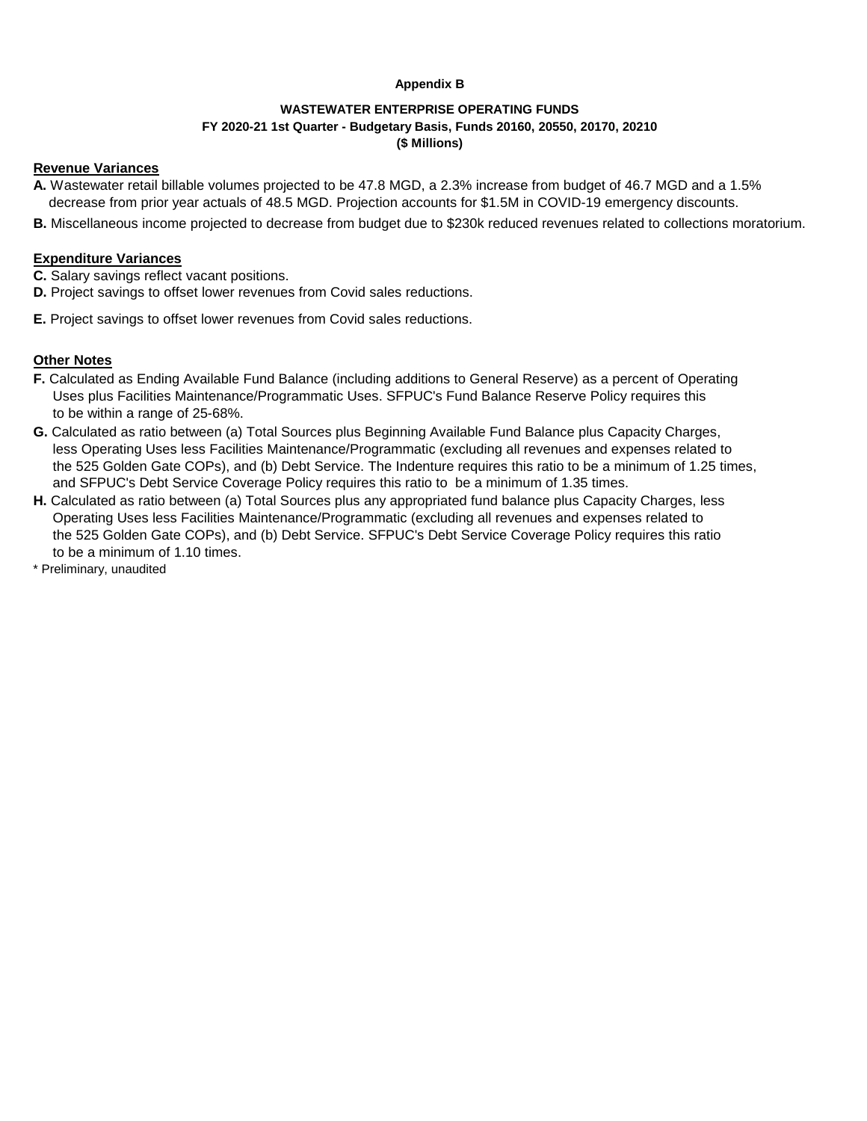## **Appendix B**

## **WASTEWATER ENTERPRISE OPERATING FUNDS FY 2020-21 1st Quarter - Budgetary Basis, Funds 20160, 20550, 20170, 20210 (\$ Millions)**

### **Revenue Variances**

- **A.** Wastewater retail billable volumes projected to be 47.8 MGD, a 2.3% increase from budget of 46.7 MGD and a 1.5% decrease from prior year actuals of 48.5 MGD. Projection accounts for \$1.5M in COVID-19 emergency discounts.
- **B.** Miscellaneous income projected to decrease from budget due to \$230k reduced revenues related to collections moratorium.

## **Expenditure Variances**

- **C.** Salary savings reflect vacant positions.
- **D.** Project savings to offset lower revenues from Covid sales reductions.
- **E.** Project savings to offset lower revenues from Covid sales reductions.

## **Other Notes**

- **F.** Calculated as Ending Available Fund Balance (including additions to General Reserve) as a percent of Operating Uses plus Facilities Maintenance/Programmatic Uses. SFPUC's Fund Balance Reserve Policy requires this to be within a range of 25-68%.
- **G.** Calculated as ratio between (a) Total Sources plus Beginning Available Fund Balance plus Capacity Charges, less Operating Uses less Facilities Maintenance/Programmatic (excluding all revenues and expenses related to the 525 Golden Gate COPs), and (b) Debt Service. The Indenture requires this ratio to be a minimum of 1.25 times, and SFPUC's Debt Service Coverage Policy requires this ratio to be a minimum of 1.35 times.
- **H.** Calculated as ratio between (a) Total Sources plus any appropriated fund balance plus Capacity Charges, less Operating Uses less Facilities Maintenance/Programmatic (excluding all revenues and expenses related to the 525 Golden Gate COPs), and (b) Debt Service. SFPUC's Debt Service Coverage Policy requires this ratio to be a minimum of 1.10 times.
- \* Preliminary, unaudited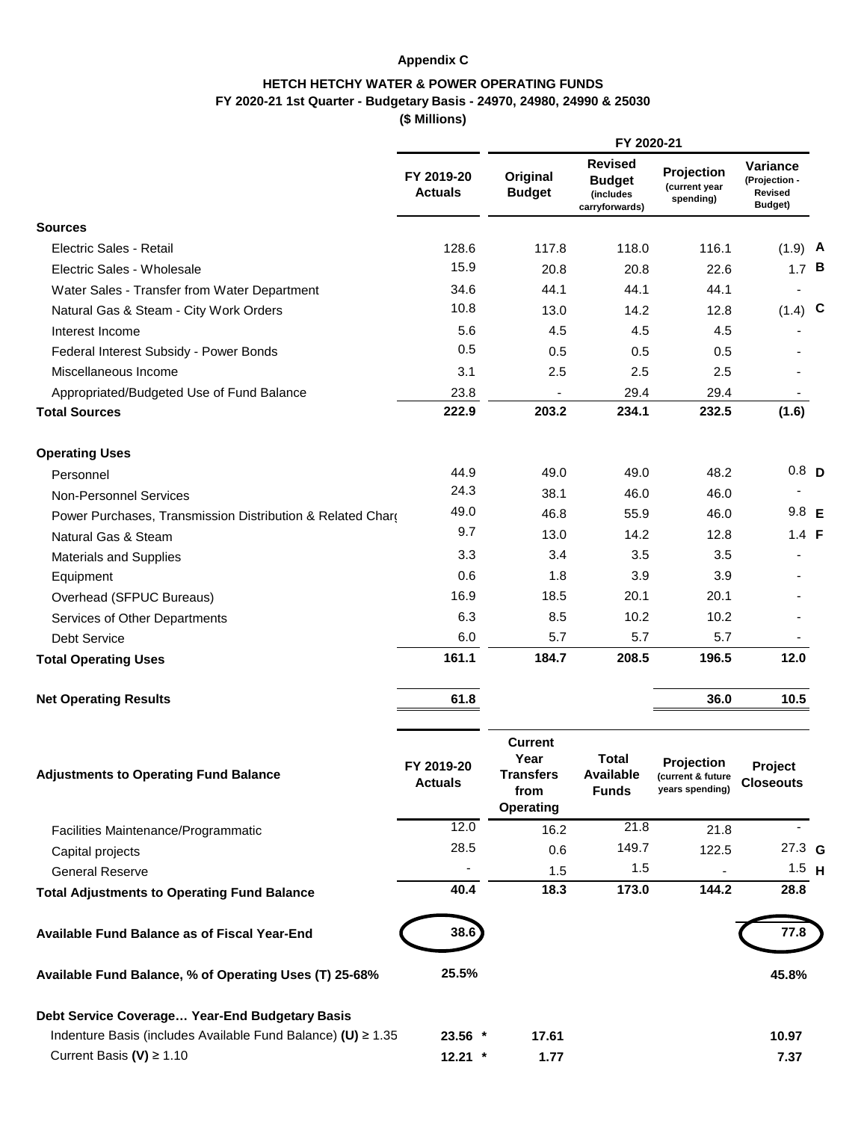# **Appendix C**

# **HETCH HETCHY WATER & POWER OPERATING FUNDS FY 2020-21 1st Quarter - Budgetary Basis - 24970, 24980, 24990 & 25030**

**(\$ Millions)**

|                                                              |                              |                                                                 | FY 2020-21                                                     |                                                    |                                                 |  |
|--------------------------------------------------------------|------------------------------|-----------------------------------------------------------------|----------------------------------------------------------------|----------------------------------------------------|-------------------------------------------------|--|
|                                                              | FY 2019-20<br><b>Actuals</b> | Original<br><b>Budget</b>                                       | <b>Revised</b><br><b>Budget</b><br>(includes<br>carryforwards) | Projection<br>(current year<br>spending)           | Variance<br>(Projection -<br>Revised<br>Budget) |  |
| <b>Sources</b>                                               |                              |                                                                 |                                                                |                                                    |                                                 |  |
| Electric Sales - Retail                                      | 128.6                        | 117.8                                                           | 118.0                                                          | 116.1                                              | $(1.9)$ A                                       |  |
| Electric Sales - Wholesale                                   | 15.9                         | 20.8                                                            | 20.8                                                           | 22.6                                               | 1.7 <sup>B</sup>                                |  |
| Water Sales - Transfer from Water Department                 | 34.6                         | 44.1                                                            | 44.1                                                           | 44.1                                               |                                                 |  |
| Natural Gas & Steam - City Work Orders                       | 10.8                         | 13.0                                                            | 14.2                                                           | 12.8                                               | $(1.4)$ C                                       |  |
| Interest Income                                              | 5.6                          | 4.5                                                             | 4.5                                                            | 4.5                                                |                                                 |  |
| Federal Interest Subsidy - Power Bonds                       | 0.5                          | 0.5                                                             | 0.5                                                            | 0.5                                                |                                                 |  |
| Miscellaneous Income                                         | 3.1                          | 2.5                                                             | 2.5                                                            | 2.5                                                |                                                 |  |
| Appropriated/Budgeted Use of Fund Balance                    | 23.8                         | $\overline{\phantom{a}}$                                        | 29.4                                                           | 29.4                                               |                                                 |  |
| <b>Total Sources</b>                                         | 222.9                        | 203.2                                                           | 234.1                                                          | 232.5                                              | (1.6)                                           |  |
| <b>Operating Uses</b>                                        |                              |                                                                 |                                                                |                                                    |                                                 |  |
| Personnel                                                    | 44.9                         | 49.0                                                            | 49.0                                                           | 48.2                                               | 0.8 <sub>D</sub>                                |  |
| <b>Non-Personnel Services</b>                                | 24.3                         | 38.1                                                            | 46.0                                                           | 46.0                                               |                                                 |  |
| Power Purchases, Transmission Distribution & Related Chard   | 49.0                         | 46.8                                                            | 55.9                                                           | 46.0                                               | $9.8$ E                                         |  |
| Natural Gas & Steam                                          | 9.7                          | 13.0                                                            | 14.2                                                           | 12.8                                               | $1.4$ F                                         |  |
| <b>Materials and Supplies</b>                                | 3.3                          | 3.4                                                             | 3.5                                                            | 3.5                                                |                                                 |  |
| Equipment                                                    | 0.6                          | 1.8                                                             | 3.9                                                            | 3.9                                                |                                                 |  |
| Overhead (SFPUC Bureaus)                                     | 16.9                         | 18.5                                                            | 20.1                                                           | 20.1                                               |                                                 |  |
| Services of Other Departments                                | 6.3                          | 8.5                                                             | 10.2                                                           | 10.2                                               |                                                 |  |
| <b>Debt Service</b>                                          | 6.0                          | 5.7                                                             | 5.7                                                            | 5.7                                                |                                                 |  |
| <b>Total Operating Uses</b>                                  | 161.1                        | 184.7                                                           | 208.5                                                          | 196.5                                              | $12.0$                                          |  |
| <b>Net Operating Results</b>                                 | 61.8                         |                                                                 |                                                                | 36.0                                               | 10.5                                            |  |
| <b>Adjustments to Operating Fund Balance</b>                 | FY 2019-20<br><b>Actuals</b> | <b>Current</b><br>Year<br><b>Transfers</b><br>from<br>Operating | Total<br><b>Available</b><br><b>Funds</b>                      | Projection<br>(current & future<br>years spending) | Project<br><b>Closeouts</b>                     |  |
| Facilities Maintenance/Programmatic                          | 12.0                         | 16.2                                                            | 21.8                                                           | 21.8                                               | $\sim$                                          |  |
| Capital projects                                             | 28.5                         | 0.6                                                             | 149.7                                                          | 122.5                                              | $27.3$ G                                        |  |
| <b>General Reserve</b>                                       |                              | 1.5                                                             | 1.5                                                            |                                                    | $1.5$ H                                         |  |
| <b>Total Adjustments to Operating Fund Balance</b>           | 40.4                         | 18.3                                                            | 173.0                                                          | 144.2                                              | 28.8                                            |  |
| Available Fund Balance as of Fiscal Year-End                 | 38.6                         |                                                                 |                                                                |                                                    | 77.8                                            |  |
| Available Fund Balance, % of Operating Uses (T) 25-68%       | 25.5%                        |                                                                 |                                                                |                                                    | 45.8%                                           |  |
| Debt Service Coverage Year-End Budgetary Basis               |                              |                                                                 |                                                                |                                                    |                                                 |  |
| Indenture Basis (includes Available Fund Balance) (U) ≥ 1.35 | 23.56 *                      | 17.61                                                           |                                                                |                                                    | 10.97                                           |  |
| Current Basis (V) $\geq 1.10$                                | $12.21$ *                    | 1.77                                                            |                                                                |                                                    | 7.37                                            |  |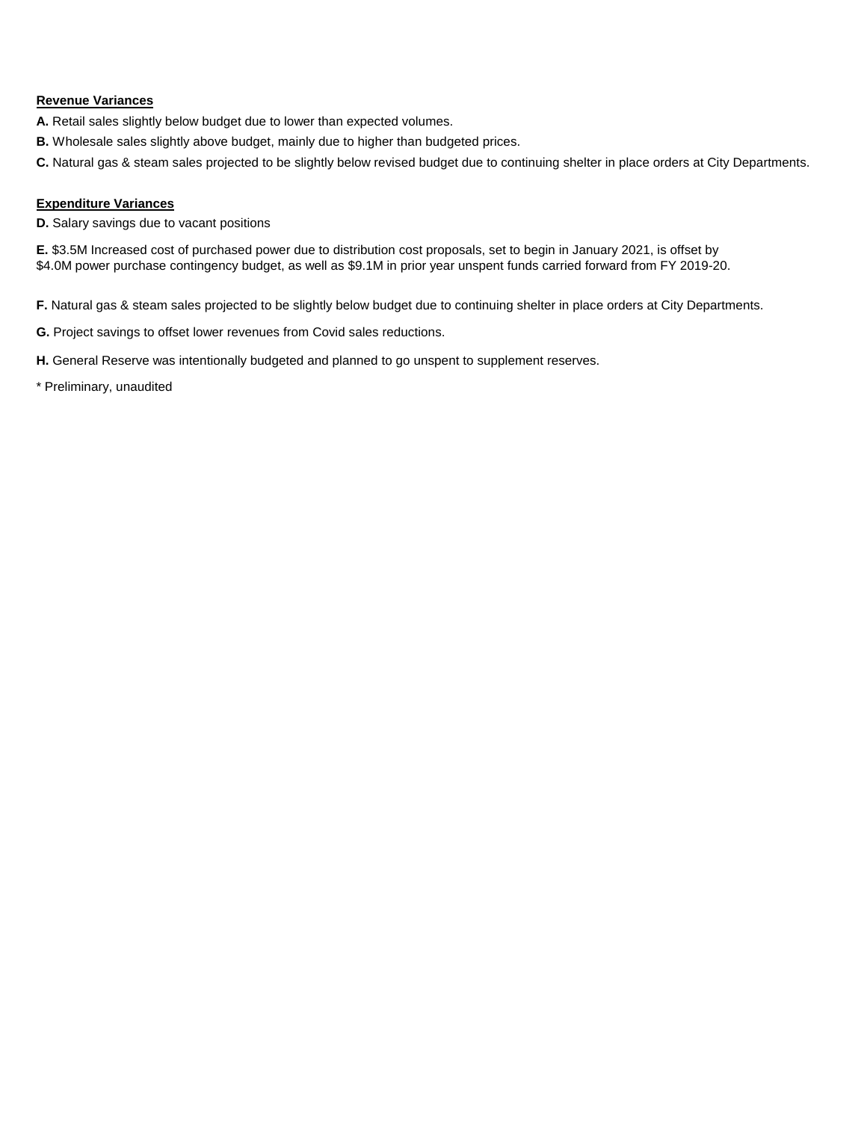## **Revenue Variances**

- **A.** Retail sales slightly below budget due to lower than expected volumes.
- **B.** Wholesale sales slightly above budget, mainly due to higher than budgeted prices.
- **C.** Natural gas & steam sales projected to be slightly below revised budget due to continuing shelter in place orders at City Departments.

## **Expenditure Variances**

**D.** Salary savings due to vacant positions

**E.** \$3.5M Increased cost of purchased power due to distribution cost proposals, set to begin in January 2021, is offset by \$4.0M power purchase contingency budget, as well as \$9.1M in prior year unspent funds carried forward from FY 2019-20.

**F.** Natural gas & steam sales projected to be slightly below budget due to continuing shelter in place orders at City Departments.

- **G.** Project savings to offset lower revenues from Covid sales reductions.
- **H.** General Reserve was intentionally budgeted and planned to go unspent to supplement reserves.
- \* Preliminary, unaudited